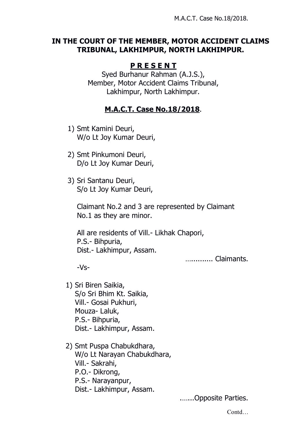## **IN THE COURT OF THE MEMBER, MOTOR ACCIDENT CLAIMS TRIBUNAL, LAKHIMPUR, NORTH LAKHIMPUR.**

## **P R E S E N T**

Syed Burhanur Rahman (A.J.S.), Member, Motor Accident Claims Tribunal, Lakhimpur, North Lakhimpur.

## **M.A.C.T. Case No.18/2018**.

- 1) Smt Kamini Deuri, W/o Lt Joy Kumar Deuri,
- 2) Smt Pinkumoni Deuri, D/o Lt Joy Kumar Deuri,
- 3) Sri Santanu Deuri, S/o Lt Joy Kumar Deuri,

Claimant No.2 and 3 are represented by Claimant No.1 as they are minor.

All are residents of Vill.- Likhak Chapori, P.S.- Bihpuria, Dist.- Lakhimpur, Assam.

….......... Claimants.

-Vs-

- 1) Sri Biren Saikia, S/o Sri Bhim Kt. Saikia, Vill.- Gosai Pukhuri, Mouza- Laluk, P.S.- Bihpuria, Dist.- Lakhimpur, Assam.
- 2) Smt Puspa Chabukdhara, W/o Lt Narayan Chabukdhara, Vill.- Sakrahi, P.O.- Dikrong, P.S.- Narayanpur, Dist.- Lakhimpur, Assam.

.…...Opposite Parties.

Contd…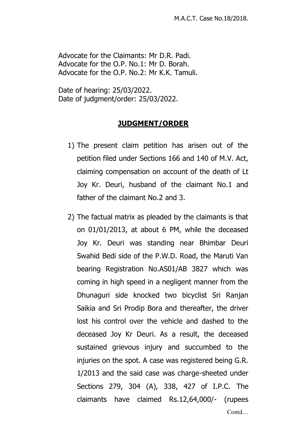Advocate for the Claimants: Mr D.R. Padi. Advocate for the O.P. No.1: Mr D. Borah. Advocate for the O.P. No.2: Mr K.K. Tamuli.

Date of hearing: 25/03/2022. Date of judgment/order: 25/03/2022.

## **JUDGMENT/ORDER**

- 1) The present claim petition has arisen out of the petition filed under Sections 166 and 140 of M.V. Act, claiming compensation on account of the death of Lt Joy Kr. Deuri, husband of the claimant No.1 and father of the claimant No.2 and 3.
- 2) The factual matrix as pleaded by the claimants is that on 01/01/2013, at about 6 PM, while the deceased Joy Kr. Deuri was standing near Bhimbar Deuri Swahid Bedi side of the P.W.D. Road, the Maruti Van bearing Registration No.AS01/AB 3827 which was coming in high speed in a negligent manner from the Dhunaguri side knocked two bicyclist Sri Ranjan Saikia and Sri Prodip Bora and thereafter, the driver lost his control over the vehicle and dashed to the deceased Joy Kr Deuri. As a result, the deceased sustained grievous injury and succumbed to the injuries on the spot. A case was registered being G.R. 1/2013 and the said case was charge-sheeted under Sections 279, 304 (A), 338, 427 of I.P.C. The claimants have claimed Rs.12,64,000/- (rupees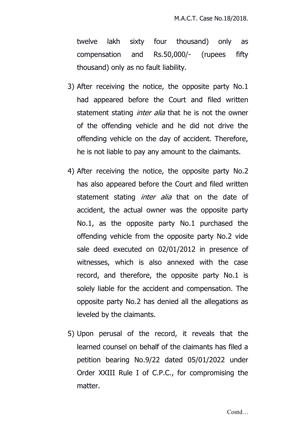twelve lakh sixty four thousand) only as compensation and Rs.50,000/- (rupees fifty thousand) only as no fault liability.

- 3) After receiving the notice, the opposite party No.1 had appeared before the Court and filed written statement stating *inter alia* that he is not the owner of the offending vehicle and he did not drive the offending vehicle on the day of accident. Therefore, he is not liable to pay any amount to the claimants.
- 4) After receiving the notice, the opposite party No.2 has also appeared before the Court and filed written statement stating *inter alia* that on the date of accident, the actual owner was the opposite party No.1, as the opposite party No.1 purchased the offending vehicle from the opposite party No.2 vide sale deed executed on 02/01/2012 in presence of witnesses, which is also annexed with the case record, and therefore, the opposite party No.1 is solely liable for the accident and compensation. The opposite party No.2 has denied all the allegations as leveled by the claimants.
- 5) Upon perusal of the record, it reveals that the learned counsel on behalf of the claimants has filed a petition bearing No.9/22 dated 05/01/2022 under Order XXIII Rule I of C.P.C., for compromising the matter.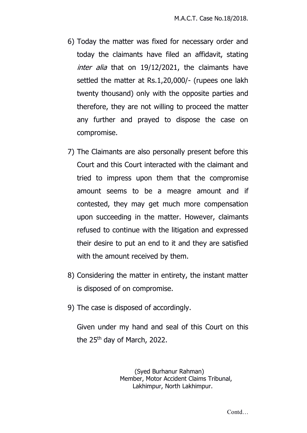- 6) Today the matter was fixed for necessary order and today the claimants have filed an affidavit, stating *inter alia* that on 19/12/2021, the claimants have settled the matter at Rs.1,20,000/- (rupees one lakh twenty thousand) only with the opposite parties and therefore, they are not willing to proceed the matter any further and prayed to dispose the case on compromise.
- 7) The Claimants are also personally present before this Court and this Court interacted with the claimant and tried to impress upon them that the compromise amount seems to be a meagre amount and if contested, they may get much more compensation upon succeeding in the matter. However, claimants refused to continue with the litigation and expressed their desire to put an end to it and they are satisfied with the amount received by them.
- 8) Considering the matter in entirety, the instant matter is disposed of on compromise.
- 9) The case is disposed of accordingly.

Given under my hand and seal of this Court on this the 25<sup>th</sup> day of March, 2022.

> (Syed Burhanur Rahman) Member, Motor Accident Claims Tribunal, Lakhimpur, North Lakhimpur.